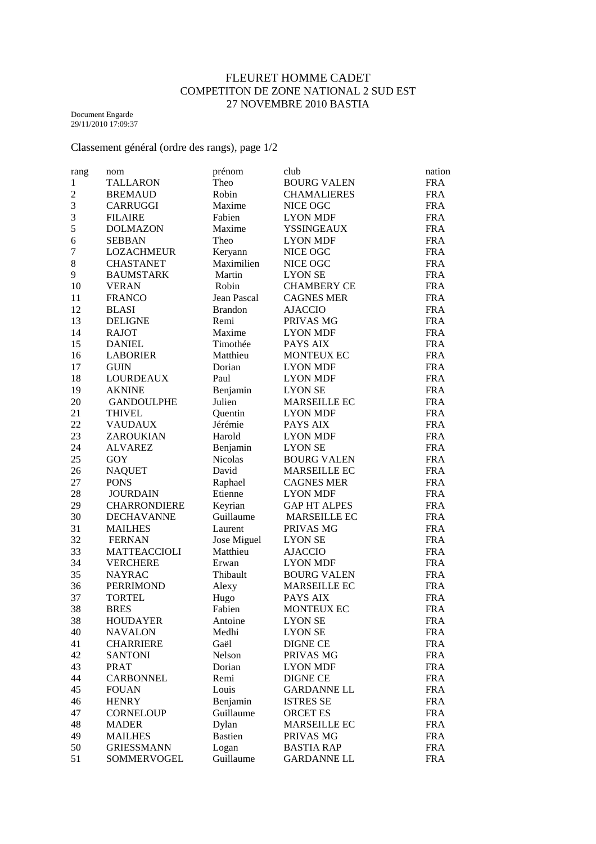## FLEURET HOMME CADET COMPETITON DE ZONE NATIONAL 2 SUD EST 27 NOVEMBRE 2010 BASTIA

Document Engarde 29/11/2010 17:09:37

Classement général (ordre des rangs), page 1/2

| rang           | nom                 | prénom         | club                | nation     |
|----------------|---------------------|----------------|---------------------|------------|
| $\mathbf{1}$   | <b>TALLARON</b>     | Theo           | <b>BOURG VALEN</b>  | <b>FRA</b> |
| $\mathfrak{2}$ | <b>BREMAUD</b>      | Robin          | <b>CHAMALIERES</b>  | <b>FRA</b> |
| 3              | <b>CARRUGGI</b>     | Maxime         | NICE OGC            | <b>FRA</b> |
| 3              | <b>FILAIRE</b>      | Fabien         | <b>LYON MDF</b>     | <b>FRA</b> |
| 5              | <b>DOLMAZON</b>     | Maxime         | <b>YSSINGEAUX</b>   | <b>FRA</b> |
| 6              | <b>SEBBAN</b>       | Theo           | <b>LYON MDF</b>     | <b>FRA</b> |
| 7              | LOZACHMEUR          | Keryann        | NICE OGC            | <b>FRA</b> |
| $\,8$          | <b>CHASTANET</b>    | Maximilien     | NICE OGC            | <b>FRA</b> |
| 9              | <b>BAUMSTARK</b>    | Martin         | <b>LYON SE</b>      | <b>FRA</b> |
| 10             | <b>VERAN</b>        | Robin          | <b>CHAMBERY CE</b>  | <b>FRA</b> |
| 11             | <b>FRANCO</b>       | Jean Pascal    | <b>CAGNES MER</b>   | <b>FRA</b> |
| 12             | <b>BLASI</b>        | <b>Brandon</b> | <b>AJACCIO</b>      | <b>FRA</b> |
| 13             | <b>DELIGNE</b>      | Remi           | PRIVAS MG           | <b>FRA</b> |
| 14             | <b>RAJOT</b>        | Maxime         | <b>LYON MDF</b>     | <b>FRA</b> |
| 15             |                     | Timothée       |                     |            |
|                | <b>DANIEL</b>       |                | PAYS AIX            | <b>FRA</b> |
| 16             | <b>LABORIER</b>     | Matthieu       | MONTEUX EC          | <b>FRA</b> |
| 17             | <b>GUIN</b>         | Dorian         | <b>LYON MDF</b>     | <b>FRA</b> |
| 18             | <b>LOURDEAUX</b>    | Paul           | <b>LYON MDF</b>     | <b>FRA</b> |
| 19             | <b>AKNINE</b>       | Benjamin       | <b>LYON SE</b>      | <b>FRA</b> |
| 20             | <b>GANDOULPHE</b>   | Julien         | <b>MARSEILLE EC</b> | <b>FRA</b> |
| 21             | <b>THIVEL</b>       | Quentin        | <b>LYON MDF</b>     | <b>FRA</b> |
| 22             | <b>VAUDAUX</b>      | Jérémie        | PAYS AIX            | <b>FRA</b> |
| 23             | ZAROUKIAN           | Harold         | <b>LYON MDF</b>     | <b>FRA</b> |
| 24             | <b>ALVAREZ</b>      | Benjamin       | <b>LYON SE</b>      | <b>FRA</b> |
| 25             | GOY                 | <b>Nicolas</b> | <b>BOURG VALEN</b>  | <b>FRA</b> |
| 26             | <b>NAQUET</b>       | David          | MARSEILLE EC        | <b>FRA</b> |
| 27             | <b>PONS</b>         | Raphael        | <b>CAGNES MER</b>   | <b>FRA</b> |
| 28             | <b>JOURDAIN</b>     | Etienne        | <b>LYON MDF</b>     | <b>FRA</b> |
| 29             | <b>CHARRONDIERE</b> | Keyrian        | <b>GAP HT ALPES</b> | <b>FRA</b> |
| 30             | <b>DECHAVANNE</b>   | Guillaume      | MARSEILLE EC        | <b>FRA</b> |
| 31             | <b>MAILHES</b>      | Laurent        | PRIVAS MG           | <b>FRA</b> |
| 32             | <b>FERNAN</b>       | Jose Miguel    | <b>LYON SE</b>      | <b>FRA</b> |
| 33             | <b>MATTEACCIOLI</b> | Matthieu       | <b>AJACCIO</b>      | <b>FRA</b> |
| 34             | <b>VERCHERE</b>     | Erwan          | <b>LYON MDF</b>     | <b>FRA</b> |
| 35             | <b>NAYRAC</b>       | Thibault       | <b>BOURG VALEN</b>  | <b>FRA</b> |
| 36             | PERRIMOND           | Alexy          | <b>MARSEILLE EC</b> | <b>FRA</b> |
| 37             | <b>TORTEL</b>       | Hugo           | PAYS AIX            | <b>FRA</b> |
| 38             | <b>BRES</b>         | Fabien         | MONTEUX EC          | <b>FRA</b> |
| 38             | <b>HOUDAYER</b>     | Antoine        | <b>LYON SE</b>      | <b>FRA</b> |
| 40             | <b>NAVALON</b>      | Medhi          | <b>LYON SE</b>      | <b>FRA</b> |
| 41             | <b>CHARRIERE</b>    | Gaël           | <b>DIGNE CE</b>     | <b>FRA</b> |
| 42             | <b>SANTONI</b>      | Nelson         | PRIVAS MG           | <b>FRA</b> |
|                |                     |                |                     |            |
| 43             | <b>PRAT</b>         | Dorian         | <b>LYON MDF</b>     | <b>FRA</b> |
| 44             | <b>CARBONNEL</b>    | Remi           | <b>DIGNE CE</b>     | <b>FRA</b> |
| 45             | <b>FOUAN</b>        | Louis          | <b>GARDANNE LL</b>  | <b>FRA</b> |
| 46             | <b>HENRY</b>        | Benjamin       | <b>ISTRES SE</b>    | <b>FRA</b> |
| 47             | <b>CORNELOUP</b>    | Guillaume      | <b>ORCET ES</b>     | <b>FRA</b> |
| 48             | <b>MADER</b>        | Dylan          | MARSEILLE EC        | <b>FRA</b> |
| 49             | <b>MAILHES</b>      | <b>Bastien</b> | PRIVAS MG           | <b>FRA</b> |
| 50             | <b>GRIESSMANN</b>   | Logan          | <b>BASTIA RAP</b>   | <b>FRA</b> |
| 51             | SOMMERVOGEL         | Guillaume      | <b>GARDANNE LL</b>  | <b>FRA</b> |